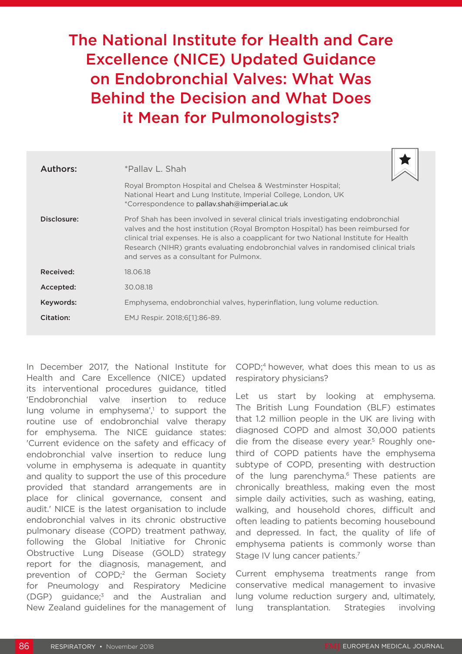# The National Institute for Health and Care Excellence (NICE) Updated Guidance on Endobronchial Valves: What Was Behind the Decision and What Does it Mean for Pulmonologists?

| Authors:    | *Pallay L. Shah                                                                                                                                                                                                                                                                                                                                                                                       |
|-------------|-------------------------------------------------------------------------------------------------------------------------------------------------------------------------------------------------------------------------------------------------------------------------------------------------------------------------------------------------------------------------------------------------------|
|             | Royal Brompton Hospital and Chelsea & Westminster Hospital;<br>National Heart and Lung Institute, Imperial College, London, UK<br>*Correspondence to pallav.shah@imperial.ac.uk                                                                                                                                                                                                                       |
| Disclosure: | Prof Shah has been involved in several clinical trials investigating endobronchial<br>valves and the host institution (Royal Brompton Hospital) has been reimbursed for<br>clinical trial expenses. He is also a coapplicant for two National Institute for Health<br>Research (NIHR) grants evaluating endobronchial valves in randomised clinical trials<br>and serves as a consultant for Pulmonx. |
| Received:   | 18.06.18                                                                                                                                                                                                                                                                                                                                                                                              |
| Accepted:   | 30.08.18                                                                                                                                                                                                                                                                                                                                                                                              |
| Keywords:   | Emphysema, endobronchial valves, hyperinflation, lung volume reduction.                                                                                                                                                                                                                                                                                                                               |
| Citation:   | EMJ Respir. 2018;6[1]:86-89.                                                                                                                                                                                                                                                                                                                                                                          |

In December 2017, the National Institute for Health and Care Excellence (NICE) updated its interventional procedures guidance, titled 'Endobronchial valve insertion to reduce lung volume in emphysema',<sup>1</sup> to support the routine use of endobronchial valve therapy for emphysema. The NICE guidance states: 'Current evidence on the safety and efficacy of endobronchial valve insertion to reduce lung volume in emphysema is adequate in quantity and quality to support the use of this procedure provided that standard arrangements are in place for clinical governance, consent and audit.' NICE is the latest organisation to include endobronchial valves in its chronic obstructive pulmonary disease (COPD) treatment pathway, following the Global Initiative for Chronic Obstructive Lung Disease (GOLD) strategy report for the diagnosis, management, and prevention of COPD;2 the German Society for Pneumology and Respiratory Medicine (DGP) guidance;3 and the Australian and New Zealand guidelines for the management of

COPD;<sup>4</sup> however, what does this mean to us as respiratory physicians?

Let us start by looking at emphysema. The British Lung Foundation (BLF) estimates that 1.2 million people in the UK are living with diagnosed COPD and almost 30,000 patients die from the disease every year.<sup>5</sup> Roughly onethird of COPD patients have the emphysema subtype of COPD, presenting with destruction of the lung parenchyma.<sup>6</sup> These patients are chronically breathless, making even the most simple daily activities, such as washing, eating, walking, and household chores, difficult and often leading to patients becoming housebound and depressed. In fact, the quality of life of emphysema patients is commonly worse than Stage IV lung cancer patients.<sup>7</sup>

Current emphysema treatments range from conservative medical management to invasive lung volume reduction surgery and, ultimately, lung transplantation. Strategies involving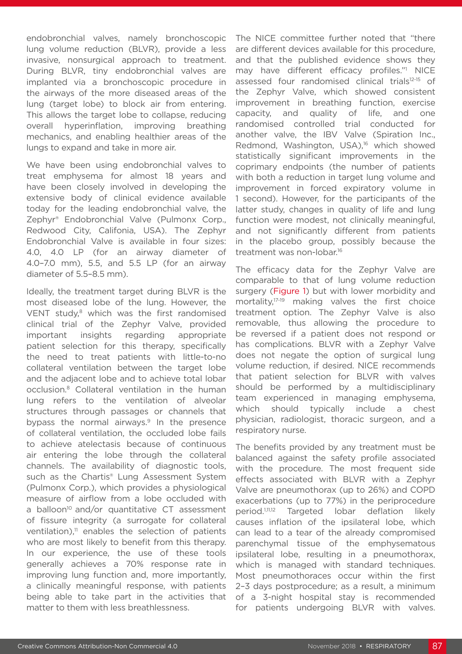endobronchial valves, namely bronchoscopic lung volume reduction (BLVR), provide a less invasive, nonsurgical approach to treatment. During BLVR, tiny endobronchial valves are implanted via a bronchoscopic procedure in the airways of the more diseased areas of the lung (target lobe) to block air from entering. This allows the target lobe to collapse, reducing overall hyperinflation, improving breathing mechanics, and enabling healthier areas of the lungs to expand and take in more air.

We have been using endobronchial valves to treat emphysema for almost 18 years and have been closely involved in developing the extensive body of clinical evidence available today for the leading endobronchial valve, the Zephyr® Endobronchial Valve (Pulmonx Corp., Redwood City, Califonia, USA). The Zephyr Endobronchial Valve is available in four sizes: 4.0, 4.0 LP (for an airway diameter of 4.0–7.0 mm), 5.5, and 5.5 LP (for an airway diameter of 5.5–8.5 mm).

Ideally, the treatment target during BLVR is the most diseased lobe of the lung. However, the VENT study,<sup>8</sup> which was the first randomised clinical trial of the Zephyr Valve, provided important insights regarding appropriate patient selection for this therapy, specifically the need to treat patients with little-to-no collateral ventilation between the target lobe and the adjacent lobe and to achieve total lobar occlusion.8 Collateral ventilation in the human lung refers to the ventilation of alveolar structures through passages or channels that bypass the normal airways.<sup>9</sup> In the presence of collateral ventilation, the occluded lobe fails to achieve atelectasis because of continuous air entering the lobe through the collateral channels. The availability of diagnostic tools, such as the Chartis<sup>®</sup> Lung Assessment System (Pulmonx Corp.), which provides a physiological measure of airflow from a lobe occluded with a balloon<sup>10</sup> and/or quantitative CT assessment of fissure integrity (a surrogate for collateral ventilation), $<sup>11</sup>$  enables the selection of patients</sup> who are most likely to benefit from this therapy. In our experience, the use of these tools generally achieves a 70% response rate in improving lung function and, more importantly, a clinically meaningful response, with patients being able to take part in the activities that matter to them with less breathlessness.

The NICE committee further noted that "there are different devices available for this procedure, and that the published evidence shows they may have different efficacy profiles."1 NICE assessed four randomised clinical trials<sup>12-15</sup> of the Zephyr Valve, which showed consistent improvement in breathing function, exercise capacity, and quality of life, and one randomised controlled trial conducted for another valve, the IBV Valve (Spiration Inc., Redmond, Washington, USA),<sup>16</sup> which showed statistically significant improvements in the coprimary endpoints (the number of patients with both a reduction in target lung volume and improvement in forced expiratory volume in 1 second). However, for the participants of the latter study, changes in quality of life and lung function were modest, not clinically meaningful, and not significantly different from patients in the placebo group, possibly because the treatment was non-lobar.<sup>16</sup>

The efficacy data for the Zephyr Valve are comparable to that of lung volume reduction surgery (Figure 1) but with lower morbidity and mortality,17-19 making valves the first choice treatment option. The Zephyr Valve is also removable, thus allowing the procedure to be reversed if a patient does not respond or has complications. BLVR with a Zephyr Valve does not negate the option of surgical lung volume reduction, if desired. NICE recommends that patient selection for BLVR with valves should be performed by a multidisciplinary team experienced in managing emphysema, which should typically include a chest physician, radiologist, thoracic surgeon, and a respiratory nurse.

The benefits provided by any treatment must be balanced against the safety profile associated with the procedure. The most frequent side effects associated with BLVR with a Zephyr Valve are pneumothorax (up to 26%) and COPD exacerbations (up to 77%) in the periprocedure period.1,11,12 Targeted lobar deflation likely causes inflation of the ipsilateral lobe, which can lead to a tear of the already compromised parenchymal tissue of the emphysematous ipsilateral lobe, resulting in a pneumothorax, which is managed with standard techniques. Most pneumothoraces occur within the first 2–3 days postprocedure; as a result, a minimum of a 3-night hospital stay is recommended for patients undergoing BLVR with valves.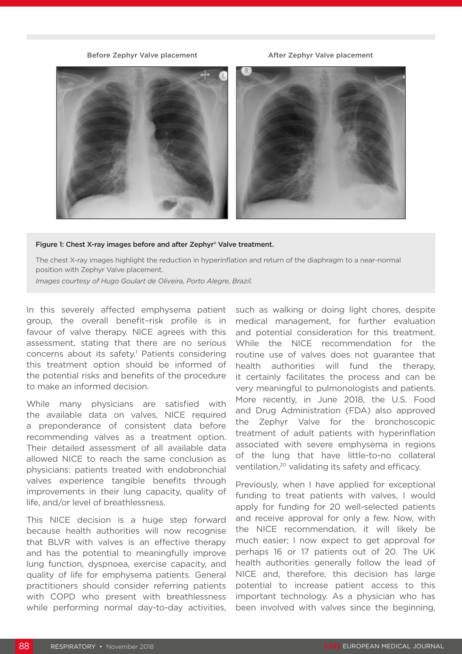# Before Zephyr Valve placement After Zephyr Valve placement



## Figure 1: Chest X-ray images before and after Zephyr® Valve treatment.

The chest X-ray images highlight the reduction in hyperinflation and return of the diaphragm to a near-normal position with Zephyr Valve placement.

*Images courtesy of Hugo Goulart de Oliveira, Porto Alegre, Brazil.*

In this severely affected emphysema patient group, the overall benefit–risk profile is in favour of valve therapy. NICE agrees with this assessment, stating that there are no serious concerns about its safety.<sup>1</sup> Patients considering this treatment option should be informed of the potential risks and benefits of the procedure to make an informed decision.

While many physicians are satisfied with the available data on valves, NICE required a preponderance of consistent data before recommending valves as a treatment option. Their detailed assessment of all available data allowed NICE to reach the same conclusion as physicians: patients treated with endobronchial valves experience tangible benefits through improvements in their lung capacity, quality of life, and/or level of breathlessness.

This NICE decision is a huge step forward because health authorities will now recognise that BLVR with valves is an effective therapy and has the potential to meaningfully improve lung function, dyspnoea, exercise capacity, and quality of life for emphysema patients. General practitioners should consider referring patients with COPD who present with breathlessness while performing normal day-to-day activities,

such as walking or doing light chores, despite medical management, for further evaluation and potential consideration for this treatment. While the NICE recommendation for the routine use of valves does not guarantee that health authorities will fund the therapy, it certainly facilitates the process and can be very meaningful to pulmonologists and patients. More recently, in June 2018, the U.S. Food and Drug Administration (FDA) also approved the Zephyr Valve for the bronchoscopic treatment of adult patients with hyperinflation associated with severe emphysema in regions of the lung that have little-to-no collateral ventilation,<sup>20</sup> validating its safety and efficacy.

Previously, when I have applied for exceptional funding to treat patients with valves, I would apply for funding for 20 well-selected patients and receive approval for only a few. Now, with the NICE recommendation, it will likely be much easier; I now expect to get approval for perhaps 16 or 17 patients out of 20. The UK health authorities generally follow the lead of NICE and, therefore, this decision has large potential to increase patient access to this important technology. As a physician who has been involved with valves since the beginning,